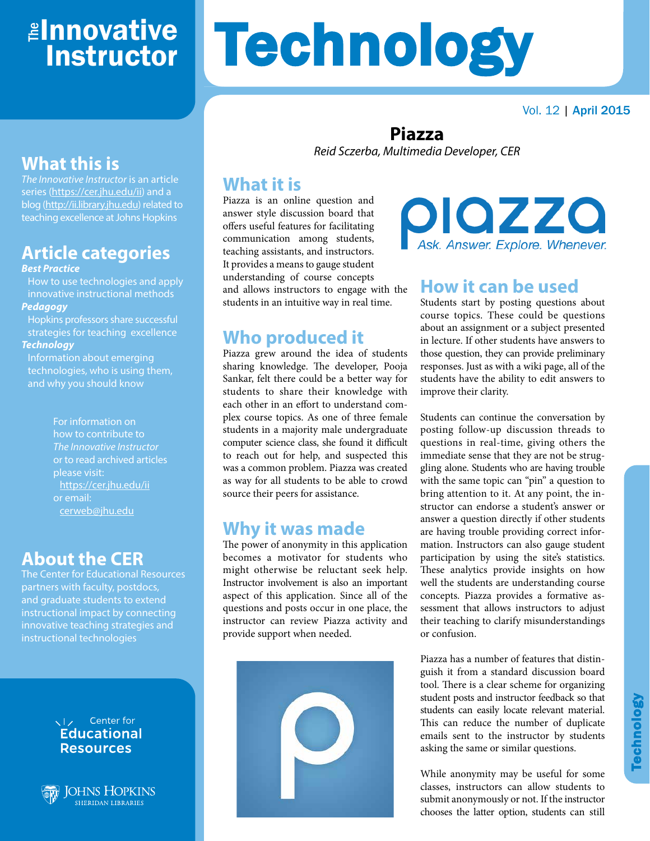# ≇l<mark>nnovative</mark> Instructor

# **Technology**

Vol. 12 | April 2015

# **What this is**

*The Innovative Instructor* is an article series (<https://cer.jhu.edu/ii>) and a blog [\(http://ii.library.jhu.edu](http://ii.library.jhu.edu)) related to teaching excellence at Johns Hopkins

# **Article categories**

#### *Best Practice*

How to use technologies and apply innovative instructional methods *Pedagogy*

Hopkins professors share successful strategies for teaching excellence *Technology*

Information about emerging technologies, who is using them, and why you should know

> For information on how to contribute to *The Innovative Instructor* or to read archived articles please visit: <https://cer.jhu.edu/ii> or email: [cerweb@jhu.edu](mailto:cerweb%40jhu.edu?subject=)

#### **About the CER**

The Center for Educational Resources partners with faculty, postdocs, and graduate students to extend instructional impact by connecting innovative teaching strategies and instructional technologies



#### **Piazza** *Reid Sczerba, Multimedia Developer, CER*

#### **What it is**

Piazza is an online question and answer style discussion board that offers useful features for facilitating communication among students, teaching assistants, and instructors. It provides a means to gauge student understanding of course concepts and allows instructors to engage with the students in an intuitive way in real time.

#### **Who produced it**

Piazza grew around the idea of students sharing knowledge. The developer, Pooja Sankar, felt there could be a better way for students to share their knowledge with each other in an effort to understand complex course topics. As one of three female students in a majority male undergraduate computer science class, she found it difficult to reach out for help, and suspected this was a common problem. Piazza was created as way for all students to be able to crowd source their peers for assistance.

#### **Why it was made**

The power of anonymity in this application becomes a motivator for students who might otherwise be reluctant seek help. Instructor involvement is also an important aspect of this application. Since all of the questions and posts occur in one place, the instructor can review Piazza activity and provide support when needed.



piazza sk. Answer. Explore. Whenever.

#### **How it can be used**

Students start by posting questions about course topics. These could be questions about an assignment or a subject presented in lecture. If other students have answers to those question, they can provide preliminary responses. Just as with a wiki page, all of the students have the ability to edit answers to improve their clarity.

Students can continue the conversation by posting follow-up discussion threads to questions in real-time, giving others the immediate sense that they are not be struggling alone. Students who are having trouble with the same topic can "pin" a question to bring attention to it. At any point, the instructor can endorse a student's answer or answer a question directly if other students are having trouble providing correct information. Instructors can also gauge student participation by using the site's statistics. These analytics provide insights on how well the students are understanding course concepts. Piazza provides a formative assessment that allows instructors to adjust their teaching to clarify misunderstandings or confusion.

Piazza has a number of features that distinguish it from a standard discussion board tool. There is a clear scheme for organizing student posts and instructor feedback so that students can easily locate relevant material. This can reduce the number of duplicate emails sent to the instructor by students asking the same or similar questions.

While anonymity may be useful for some classes, instructors can allow students to submit anonymously or not. If the instructor chooses the latter option, students can still